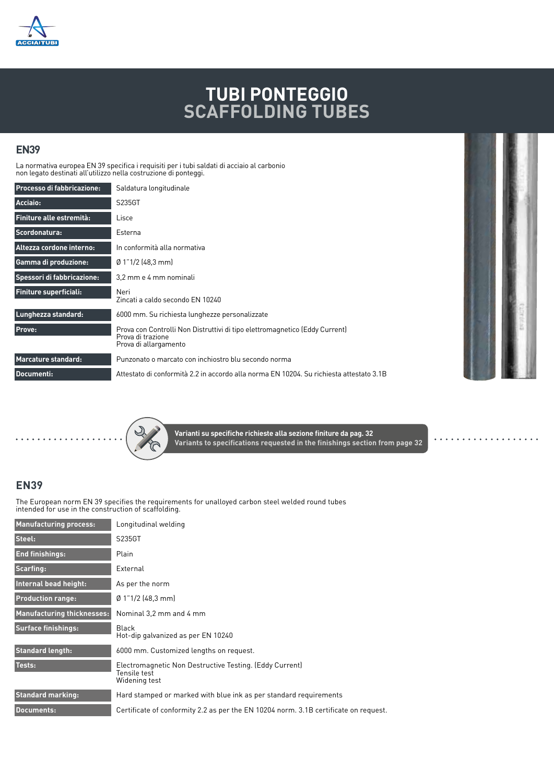

## **TUBI PONTEGGIO SCAFFOLDING TUBES**

## **EN39**

La normativa europea EN 39 specifica i requisiti per i tubi saldati di acciaio al carbonio non legato destinati all'utilizzo nella costruzione di ponteggi.

| <b>Processo di fabbricazione:</b> | Saldatura longitudinale                                                                                                   |  |  |  |  |
|-----------------------------------|---------------------------------------------------------------------------------------------------------------------------|--|--|--|--|
| Acciaio:                          | S235GT                                                                                                                    |  |  |  |  |
| Finiture alle estremità:          | Lisce                                                                                                                     |  |  |  |  |
| Scordonatura:                     | Esterna                                                                                                                   |  |  |  |  |
| Altezza cordone interno:          | In conformità alla normativa                                                                                              |  |  |  |  |
| <b>Gamma di produzione:</b>       | $\emptyset$ 1"1/2 (48,3 mm)                                                                                               |  |  |  |  |
| Spessori di fabbricazione:        | 3.2 mm e 4 mm nominali                                                                                                    |  |  |  |  |
| <b>Finiture superficiali:</b>     | Neri<br>Zincati a caldo secondo EN 10240                                                                                  |  |  |  |  |
| Lunghezza standard:               | 6000 mm. Su richiesta lunghezze personalizzate                                                                            |  |  |  |  |
| Prove:                            | Prova con Controlli Non Distruttivi di tipo elettromagnetico (Eddy Current)<br>Prova di trazione<br>Prova di allargamento |  |  |  |  |
| <b>Marcature standard:</b>        | Punzonato o marcato con inchiostro blu secondo norma                                                                      |  |  |  |  |
| Documenti:                        | Attestato di conformità 2.2 in accordo alla norma EN 10204. Su richiesta attestato 3.1B                                   |  |  |  |  |



**Varianti su specifiche richieste alla sezione finiture da pag. 32 Variants to specifications requested in the finishings section from page 32**

## **EN39**

The European norm EN 39 specifies the requirements for unalloyed carbon steel welded round tubes intended for use in the construction of scaffolding.

| <b>Manufacturing process:</b>     | Longitudinal welding                                                                     |  |  |  |  |  |  |
|-----------------------------------|------------------------------------------------------------------------------------------|--|--|--|--|--|--|
| Steel:                            | S235GT                                                                                   |  |  |  |  |  |  |
| <b>End finishings:</b>            | Plain                                                                                    |  |  |  |  |  |  |
| Scarfing:                         | External                                                                                 |  |  |  |  |  |  |
| Internal bead height:             | As per the norm<br>$\emptyset$ 1"1/2 (48.3 mm)                                           |  |  |  |  |  |  |
| <b>Production range:</b>          |                                                                                          |  |  |  |  |  |  |
| <b>Manufacturing thicknesses:</b> | Nominal 3.2 mm and 4 mm                                                                  |  |  |  |  |  |  |
| <b>Surface finishings:</b>        | Black<br>Hot-dip galvanized as per EN 10240                                              |  |  |  |  |  |  |
| <b>Standard length:</b>           | 6000 mm. Customized lengths on request.                                                  |  |  |  |  |  |  |
| Tests:                            | Electromagnetic Non Destructive Testing. (Eddy Current)<br>Tensile test<br>Widening test |  |  |  |  |  |  |
| <b>Standard marking:</b>          | Hard stamped or marked with blue ink as per standard requirements                        |  |  |  |  |  |  |
| Documents:                        | Certificate of conformity 2.2 as per the EN 10204 norm. 3.1B certificate on request.     |  |  |  |  |  |  |